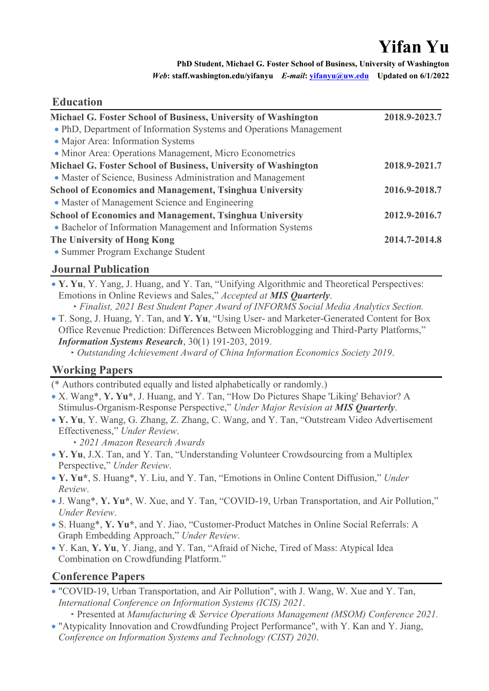# **Yifan Yu**

**PhD Student, Michael G. Foster School of Business, University of Washington** *Web***: staff.washington.edu/yifanyu** *E-mail***: [yifanyu@uw.edu](mailto:yifanyu@uw.edu) Updated on 6/1/2022**

## **Education**

| Michael G. Foster School of Business, University of Washington     | 2018.9-2023.7 |
|--------------------------------------------------------------------|---------------|
| • PhD, Department of Information Systems and Operations Management |               |
| • Major Area: Information Systems                                  |               |
| • Minor Area: Operations Management, Micro Econometrics            |               |
| Michael G. Foster School of Business, University of Washington     | 2018.9-2021.7 |
| • Master of Science, Business Administration and Management        |               |
| <b>School of Economics and Management, Tsinghua University</b>     | 2016.9-2018.7 |
| • Master of Management Science and Engineering                     |               |
| <b>School of Economics and Management, Tsinghua University</b>     | 2012.9-2016.7 |
| • Bachelor of Information Management and Information Systems       |               |
| The University of Hong Kong                                        | 2014.7-2014.8 |
| • Summer Program Exchange Student                                  |               |

### **Journal Publication**

- **Y. Yu**, Y. Yang, J. Huang, and Y. Tan, "[Unifying Algorithmic and Theoretical Perspectives:](https://dx.doi.org/10.2139/ssrn.3497884)  [Emotions in Online Reviews and Sales,](https://dx.doi.org/10.2139/ssrn.3497884)" *Accepted at MIS Quarterly*.
- ‣ *Finalist, 2021 Best Student Paper Award of INFORMS Social Media Analytics Section.* • T. Song, J. Huang, Y. Tan, and **Y. Yu**, "Using User- and Marketer-Generated Content for Box Office Revenue Prediction: Differences Between Microblogging and Third-Party Platforms," *Information Systems Research*, 30(1) 191-203, 2019.
	- ‣ *Outstanding Achievement Award of China Information Economics Society 2019*.

### **Working Papers**

(\* Authors contributed equally and listed alphabetically or randomly.)

- X. Wang\*, **Y. Yu\***, J. Huang, and Y. Tan, "How Do Pictures Shape 'Liking' Behavior? A Stimulus-Organism-Response Perspective," *Under Major Revision at MIS Quarterly*.
- **Y. Yu**, Y. Wang, G. Zhang, Z. Zhang, C. Wang, and Y. Tan, "Outstream Video Advertisement Effectiveness," *Under Review*.
	- ‣ *2021 Amazon Research Awards*
- **Y. Yu**, J.X. Tan, and Y. Tan, "Understanding Volunteer Crowdsourcing from a Multiplex Perspective," *Under Review*.
- **Y. Yu\***, S. Huang\*, Y. Liu, and Y. Tan, "Emotions in Online Content Diffusion," *Under Review*.
- J. Wang\*, **Y. Yu\***, W. Xue, and Y. Tan, "COVID-19, Urban Transportation, and Air Pollution," *Under Review*.
- S. Huang\*, **Y. Yu\***, and Y. Jiao, "Customer-Product Matches in Online Social Referrals: A Graph Embedding Approach," *Under Review*.
- Y. Kan, **Y. Yu**, Y. Jiang, and Y. Tan, "Afraid of Niche, Tired of Mass: Atypical Idea Combination on Crowdfunding Platform."

### **Conference Papers**

- "COVID-19, Urban Transportation, and Air Pollution", with J. Wang, W. Xue and Y. Tan, *International Conference on Information Systems (ICIS) 2021*.
	- ‣ Presented at *Manufacturing & Service Operations Management (MSOM) Conference 2021.*
- "Atypicality Innovation and Crowdfunding Project Performance", with Y. Kan and Y. Jiang, *Conference on Information Systems and Technology (CIST) 2020*.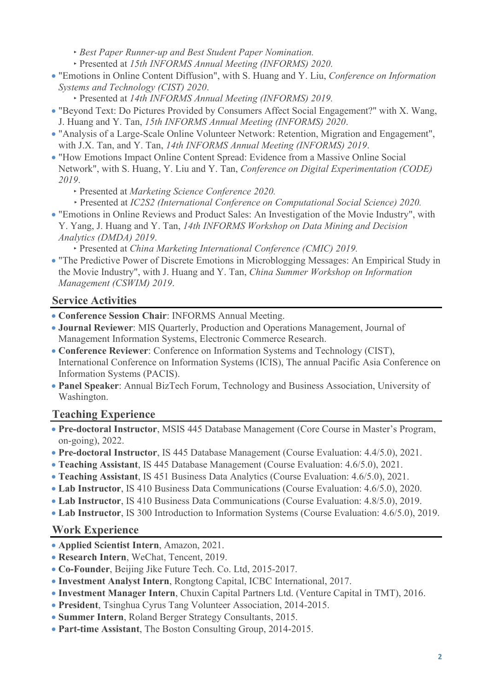- ‣ *Best Paper Runner-up and Best Student Paper Nomination.*
- ‣ Presented at *15th INFORMS Annual Meeting (INFORMS) 2020.*
- "Emotions in Online Content Diffusion", with S. Huang and Y. Liu, *Conference on Information Systems and Technology (CIST) 2020*.
	- ‣ Presented at *14th INFORMS Annual Meeting (INFORMS) 2019.*
- "Beyond Text: Do Pictures Provided by Consumers Affect Social Engagement?" with X. Wang, J. Huang and Y. Tan, *15th INFORMS Annual Meeting (INFORMS) 2020*.
- "Analysis of a Large-Scale Online Volunteer Network: Retention, Migration and Engagement", with J.X. Tan, and Y. Tan, *14th INFORMS Annual Meeting (INFORMS) 2019*.
- "How Emotions Impact Online Content Spread: Evidence from a Massive Online Social Network", with S. Huang, Y. Liu and Y. Tan, *Conference on Digital Experimentation (CODE) 2019*.
	- ‣ Presented at *Marketing Science Conference 2020.*
	- ‣ Presented at *IC2S2 (International Conference on Computational Social Science) 2020.*
- "Emotions in Online Reviews and Product Sales: An Investigation of the Movie Industry", with Y. Yang, J. Huang and Y. Tan, *14th INFORMS Workshop on Data Mining and Decision Analytics (DMDA) 2019*.

‣ Presented at *China Marketing International Conference (CMIC) 2019.*

• "The Predictive Power of Discrete Emotions in Microblogging Messages: An Empirical Study in the Movie Industry", with J. Huang and Y. Tan, *China Summer Workshop on Information Management (CSWIM) 2019*.

### **Service Activities**

- **Conference Session Chair**: INFORMS Annual Meeting.
- **Journal Reviewer**: MIS Quarterly, Production and Operations Management, Journal of Management Information Systems, Electronic Commerce Research.
- **Conference Reviewer**: Conference on Information Systems and Technology (CIST), International Conference on Information Systems (ICIS), The annual Pacific Asia Conference on Information Systems (PACIS).
- **Panel Speaker**: Annual BizTech Forum, Technology and Business Association, University of Washington.

### **Teaching Experience**

- **Pre-doctoral Instructor**, MSIS 445 Database Management (Core Course in Master's Program, on-going), 2022.
- **Pre-doctoral Instructor**, IS 445 Database Management (Course Evaluation: 4.4/5.0), 2021.
- **Teaching Assistant**, IS 445 Database Management (Course Evaluation: 4.6/5.0), 2021.
- **Teaching Assistant**, IS 451 Business Data Analytics (Course Evaluation: 4.6/5.0), 2021.
- **Lab Instructor**, IS 410 Business Data Communications (Course Evaluation: 4.6/5.0), 2020.
- **Lab Instructor**, IS 410 Business Data Communications (Course Evaluation: 4.8/5.0), 2019.
- **Lab Instructor**, IS 300 Introduction to Information Systems (Course Evaluation: 4.6/5.0), 2019.

### **Work Experience**

- **Applied Scientist Intern**, Amazon, 2021.
- **Research Intern**, WeChat, Tencent, 2019.
- **Co-Founder**, Beijing Jike Future Tech. Co. Ltd, 2015-2017.
- **Investment Analyst Intern**, Rongtong Capital, ICBC International, 2017.
- **Investment Manager Intern**, Chuxin Capital Partners Ltd. (Venture Capital in TMT), 2016.
- **President**, Tsinghua Cyrus Tang Volunteer Association, 2014-2015.
- **Summer Intern**, Roland Berger Strategy Consultants, 2015.
- **Part-time Assistant**, The Boston Consulting Group, 2014-2015.